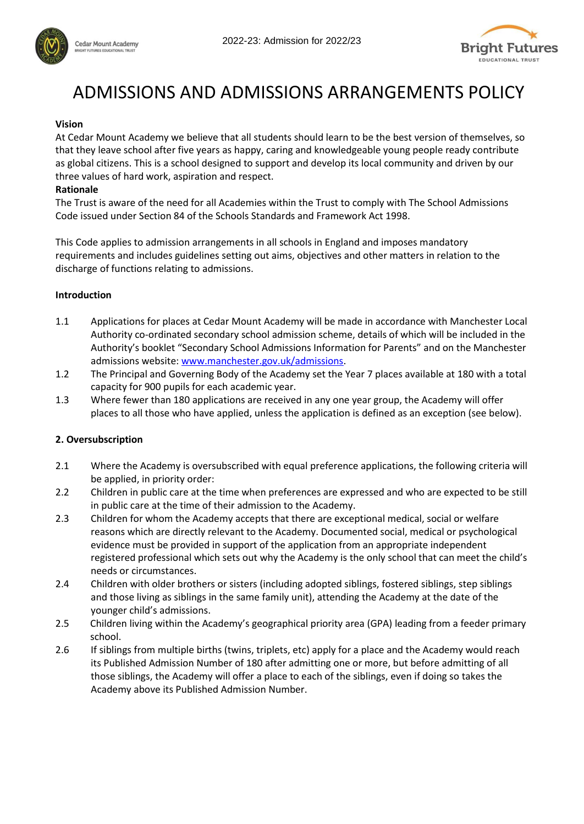





# ADMISSIONS AND ADMISSIONS ARRANGEMENTS POLICY

#### **Vision**

At Cedar Mount Academy we believe that all students should learn to be the best version of themselves, so that they leave school after five years as happy, caring and knowledgeable young people ready contribute as global citizens. This is a school designed to support and develop its local community and driven by our three values of hard work, aspiration and respect.

#### **Rationale**

The Trust is aware of the need for all Academies within the Trust to comply with The School Admissions Code issued under Section 84 of the Schools Standards and Framework Act 1998.

This Code applies to admission arrangements in all schools in England and imposes mandatory requirements and includes guidelines setting out aims, objectives and other matters in relation to the discharge of functions relating to admissions.

#### **Introduction**

- 1.1 Applications for places at Cedar Mount Academy will be made in accordance with Manchester Local Authority co-ordinated secondary school admission scheme, details of which will be included in the Authority's booklet "Secondary School Admissions Information for Parents" and on the Manchester admissions website: [www.manchester.gov.uk/admissions.](http://www.manchester.gov.uk/admissions)
- 1.2 The Principal and Governing Body of the Academy set the Year 7 places available at 180 with a total capacity for 900 pupils for each academic year.
- 1.3 Where fewer than 180 applications are received in any one year group, the Academy will offer places to all those who have applied, unless the application is defined as an exception (see below).

# **2. Oversubscription**

- 2.1 Where the Academy is oversubscribed with equal preference applications, the following criteria will be applied, in priority order:
- 2.2 Children in public care at the time when preferences are expressed and who are expected to be still in public care at the time of their admission to the Academy.
- 2.3 Children for whom the Academy accepts that there are exceptional medical, social or welfare reasons which are directly relevant to the Academy. Documented social, medical or psychological evidence must be provided in support of the application from an appropriate independent registered professional which sets out why the Academy is the only school that can meet the child's needs or circumstances.
- 2.4 Children with older brothers or sisters (including adopted siblings, fostered siblings, step siblings and those living as siblings in the same family unit), attending the Academy at the date of the younger child's admissions.
- 2.5 Children living within the Academy's geographical priority area (GPA) leading from a feeder primary school.
- 2.6 If siblings from multiple births (twins, triplets, etc) apply for a place and the Academy would reach its Published Admission Number of 180 after admitting one or more, but before admitting of all those siblings, the Academy will offer a place to each of the siblings, even if doing so takes the Academy above its Published Admission Number.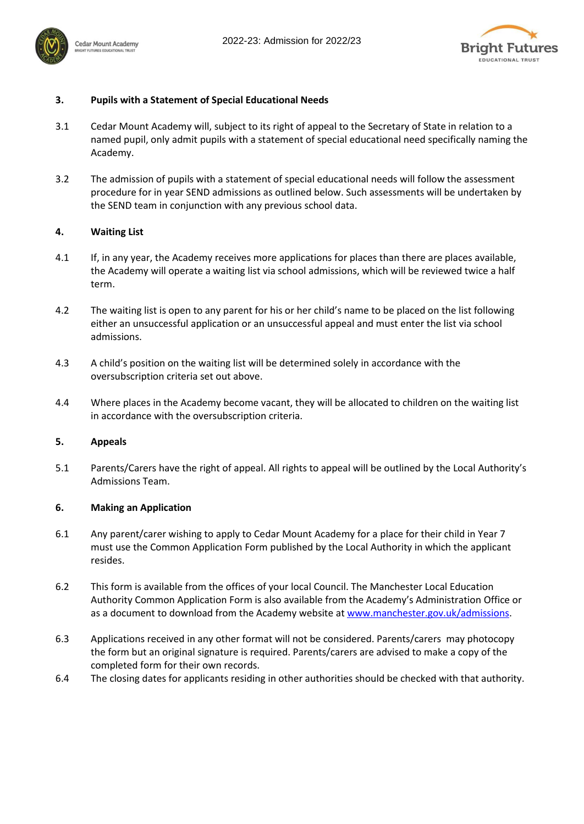



# **3. Pupils with a Statement of Special Educational Needs**

- 3.1 Cedar Mount Academy will, subject to its right of appeal to the Secretary of State in relation to a named pupil, only admit pupils with a statement of special educational need specifically naming the Academy.
- 3.2 The admission of pupils with a statement of special educational needs will follow the assessment procedure for in year SEND admissions as outlined below. Such assessments will be undertaken by the SEND team in conjunction with any previous school data.

# **4. Waiting List**

- 4.1 If, in any year, the Academy receives more applications for places than there are places available, the Academy will operate a waiting list via school admissions, which will be reviewed twice a half term.
- 4.2 The waiting list is open to any parent for his or her child's name to be placed on the list following either an unsuccessful application or an unsuccessful appeal and must enter the list via school admissions.
- 4.3 A child's position on the waiting list will be determined solely in accordance with the oversubscription criteria set out above.
- 4.4 Where places in the Academy become vacant, they will be allocated to children on the waiting list in accordance with the oversubscription criteria.

# **5. Appeals**

5.1 Parents/Carers have the right of appeal. All rights to appeal will be outlined by the Local Authority's Admissions Team.

# **6. Making an Application**

- 6.1 Any parent/carer wishing to apply to Cedar Mount Academy for a place for their child in Year 7 must use the Common Application Form published by the Local Authority in which the applicant resides.
- 6.2 This form is available from the offices of your local Council. The Manchester Local Education Authority Common Application Form is also available from the Academy's Administration Office or as a document to download from the Academy website at [www.manchester.gov.uk/admissions.](http://www.manchester.gov.uk/admissions)
- 6.3 Applications received in any other format will not be considered. Parents/carers may photocopy the form but an original signature is required. Parents/carers are advised to make a copy of the completed form for their own records.
- 6.4 The closing dates for applicants residing in other authorities should be checked with that authority.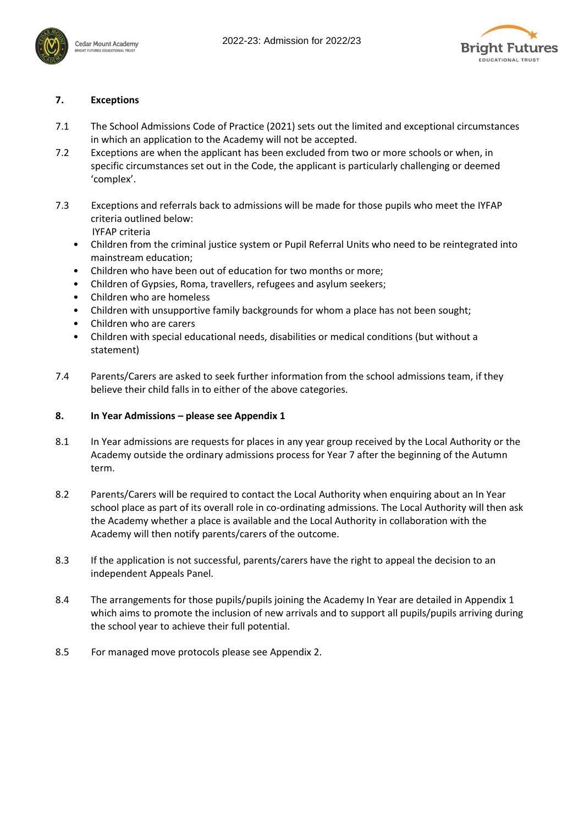



# **7. Exceptions**

- 7.1 The School Admissions Code of Practice (2021) sets out the limited and exceptional circumstances in which an application to the Academy will not be accepted.
- 7.2 Exceptions are when the applicant has been excluded from two or more schools or when, in specific circumstances set out in the Code, the applicant is particularly challenging or deemed 'complex'.
- 7.3 Exceptions and referrals back to admissions will be made for those pupils who meet the IYFAP criteria outlined below: IYFAP criteria
	- Children from the criminal justice system or Pupil Referral Units who need to be reintegrated into mainstream education;
	- Children who have been out of education for two months or more;
	- Children of Gypsies, Roma, travellers, refugees and asylum seekers;
	- Children who are homeless
	- Children with unsupportive family backgrounds for whom a place has not been sought;
	- Children who are carers
	- Children with special educational needs, disabilities or medical conditions (but without a statement)
- 7.4 Parents/Carers are asked to seek further information from the school admissions team, if they believe their child falls in to either of the above categories.

# **8. In Year Admissions – please see Appendix 1**

- 8.1 In Year admissions are requests for places in any year group received by the Local Authority or the Academy outside the ordinary admissions process for Year 7 after the beginning of the Autumn term.
- 8.2 Parents/Carers will be required to contact the Local Authority when enquiring about an In Year school place as part of its overall role in co-ordinating admissions. The Local Authority will then ask the Academy whether a place is available and the Local Authority in collaboration with the Academy will then notify parents/carers of the outcome.
- 8.3 If the application is not successful, parents/carers have the right to appeal the decision to an independent Appeals Panel.
- 8.4 The arrangements for those pupils/pupils joining the Academy In Year are detailed in Appendix 1 which aims to promote the inclusion of new arrivals and to support all pupils/pupils arriving during the school year to achieve their full potential.
- 8.5 For managed move protocols please see Appendix 2.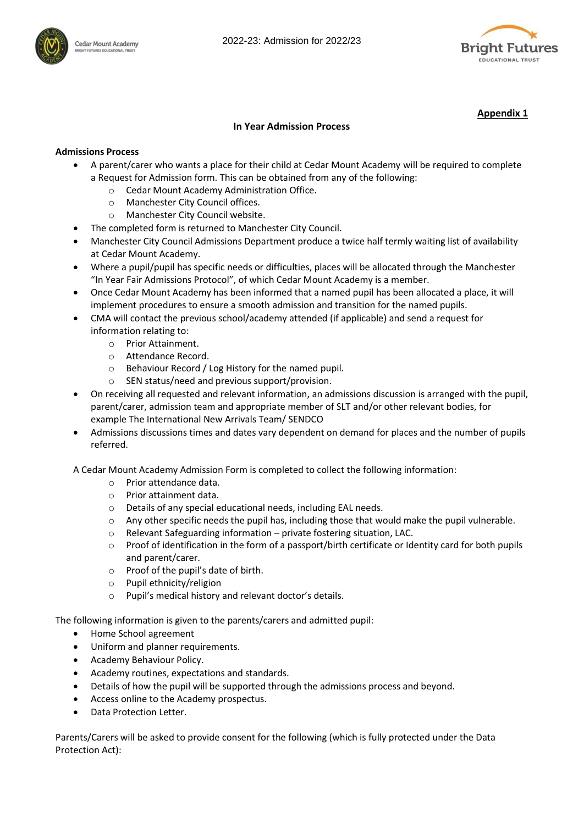



**Appendix 1**

#### **In Year Admission Process**

#### **Admissions Process**

- A parent/carer who wants a place for their child at Cedar Mount Academy will be required to complete a Request for Admission form. This can be obtained from any of the following:
	- o Cedar Mount Academy Administration Office.
	- o Manchester City Council offices.
	- o Manchester City Council website.
- The completed form is returned to Manchester City Council.
- Manchester City Council Admissions Department produce a twice half termly waiting list of availability at Cedar Mount Academy.
- Where a pupil/pupil has specific needs or difficulties, places will be allocated through the Manchester "In Year Fair Admissions Protocol", of which Cedar Mount Academy is a member.
- Once Cedar Mount Academy has been informed that a named pupil has been allocated a place, it will implement procedures to ensure a smooth admission and transition for the named pupils.
- CMA will contact the previous school/academy attended (if applicable) and send a request for information relating to:
	- o Prior Attainment.
	- o Attendance Record.
	- o Behaviour Record / Log History for the named pupil.
	- o SEN status/need and previous support/provision.
- On receiving all requested and relevant information, an admissions discussion is arranged with the pupil, parent/carer, admission team and appropriate member of SLT and/or other relevant bodies, for example The International New Arrivals Team/ SENDCO
- Admissions discussions times and dates vary dependent on demand for places and the number of pupils referred.

A Cedar Mount Academy Admission Form is completed to collect the following information:

- o Prior attendance data.
- o Prior attainment data.
- o Details of any special educational needs, including EAL needs.
- $\circ$  Any other specific needs the pupil has, including those that would make the pupil vulnerable.
- o Relevant Safeguarding information private fostering situation, LAC.
- o Proof of identification in the form of a passport/birth certificate or Identity card for both pupils and parent/carer.
- o Proof of the pupil's date of birth.
- o Pupil ethnicity/religion
- o Pupil's medical history and relevant doctor's details.

The following information is given to the parents/carers and admitted pupil:

- Home School agreement
- Uniform and planner requirements.
- Academy Behaviour Policy.
- Academy routines, expectations and standards.
- Details of how the pupil will be supported through the admissions process and beyond.
- Access online to the Academy prospectus.
- Data Protection Letter.

Parents/Carers will be asked to provide consent for the following (which is fully protected under the Data Protection Act):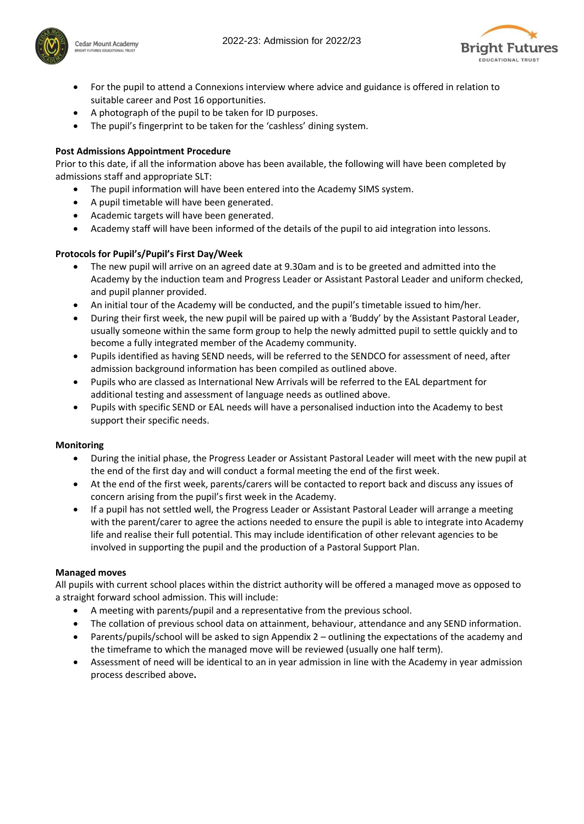



- For the pupil to attend a Connexions interview where advice and guidance is offered in relation to suitable career and Post 16 opportunities.
- A photograph of the pupil to be taken for ID purposes.
- The pupil's fingerprint to be taken for the 'cashless' dining system.

#### **Post Admissions Appointment Procedure**

Prior to this date, if all the information above has been available, the following will have been completed by admissions staff and appropriate SLT:

- The pupil information will have been entered into the Academy SIMS system.
- A pupil timetable will have been generated.
- Academic targets will have been generated.
- Academy staff will have been informed of the details of the pupil to aid integration into lessons.

#### **Protocols for Pupil's/Pupil's First Day/Week**

- The new pupil will arrive on an agreed date at 9.30am and is to be greeted and admitted into the Academy by the induction team and Progress Leader or Assistant Pastoral Leader and uniform checked, and pupil planner provided.
- An initial tour of the Academy will be conducted, and the pupil's timetable issued to him/her.
- During their first week, the new pupil will be paired up with a 'Buddy' by the Assistant Pastoral Leader, usually someone within the same form group to help the newly admitted pupil to settle quickly and to become a fully integrated member of the Academy community.
- Pupils identified as having SEND needs, will be referred to the SENDCO for assessment of need, after admission background information has been compiled as outlined above.
- Pupils who are classed as International New Arrivals will be referred to the EAL department for additional testing and assessment of language needs as outlined above.
- Pupils with specific SEND or EAL needs will have a personalised induction into the Academy to best support their specific needs.

#### **Monitoring**

- During the initial phase, the Progress Leader or Assistant Pastoral Leader will meet with the new pupil at the end of the first day and will conduct a formal meeting the end of the first week.
- At the end of the first week, parents/carers will be contacted to report back and discuss any issues of concern arising from the pupil's first week in the Academy.
- If a pupil has not settled well, the Progress Leader or Assistant Pastoral Leader will arrange a meeting with the parent/carer to agree the actions needed to ensure the pupil is able to integrate into Academy life and realise their full potential. This may include identification of other relevant agencies to be involved in supporting the pupil and the production of a Pastoral Support Plan.

#### **Managed moves**

All pupils with current school places within the district authority will be offered a managed move as opposed to a straight forward school admission. This will include:

- A meeting with parents/pupil and a representative from the previous school.
- The collation of previous school data on attainment, behaviour, attendance and any SEND information.
- Parents/pupils/school will be asked to sign Appendix 2 outlining the expectations of the academy and the timeframe to which the managed move will be reviewed (usually one half term).
- Assessment of need will be identical to an in year admission in line with the Academy in year admission process described above**.**